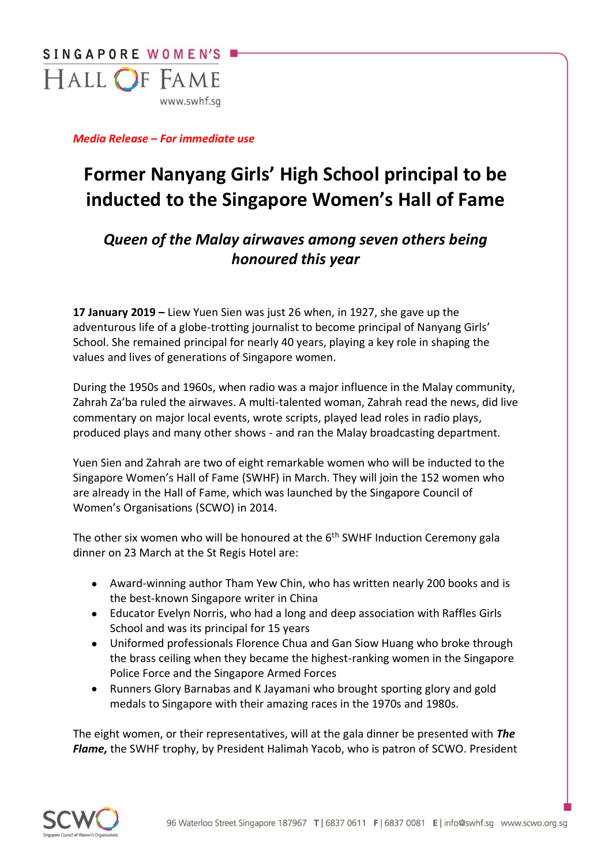

*Media Release – For immediate use* 

## **Former Nanyang Girls' High School principal to be inducted to the Singapore Women's Hall of Fame**

## *Queen of the Malay airwaves among seven others being honoured this year*

**17 January 2019 –** Liew Yuen Sien was just 26 when, in 1927, she gave up the adventurous life of a globe-trotting journalist to become principal of Nanyang Girls' School. She remained principal for nearly 40 years, playing a key role in shaping the values and lives of generations of Singapore women.

During the 1950s and 1960s, when radio was a major influence in the Malay community, Zahrah Za'ba ruled the airwaves. A multi-talented woman, Zahrah read the news, did live commentary on major local events, wrote scripts, played lead roles in radio plays, produced plays and many other shows - and ran the Malay broadcasting department.

Yuen Sien and Zahrah are two of eight remarkable women who will be inducted to the Singapore Women's Hall of Fame (SWHF) in March. They will join the 152 women who are already in the Hall of Fame, which was launched by the Singapore Council of Women's Organisations (SCWO) in 2014.

The other six women who will be honoured at the  $6<sup>th</sup>$  SWHF Induction Ceremony gala dinner on 23 March at the St Regis Hotel are:

- Award-winning author Tham Yew Chin, who has written nearly 200 books and is the best-known Singapore writer in China
- Educator Evelyn Norris, who had a long and deep association with Raffles Girls School and was its principal for 15 years
- Uniformed professionals Florence Chua and Gan Siow Huang who broke through the brass ceiling when they became the highest-ranking women in the Singapore Police Force and the Singapore Armed Forces
- Runners Glory Barnabas and K Jayamani who brought sporting glory and gold medals to Singapore with their amazing races in the 1970s and 1980s.

The eight women, or their representatives, will at the gala dinner be presented with *The Flame,* the SWHF trophy, by President Halimah Yacob, who is patron of SCWO. President